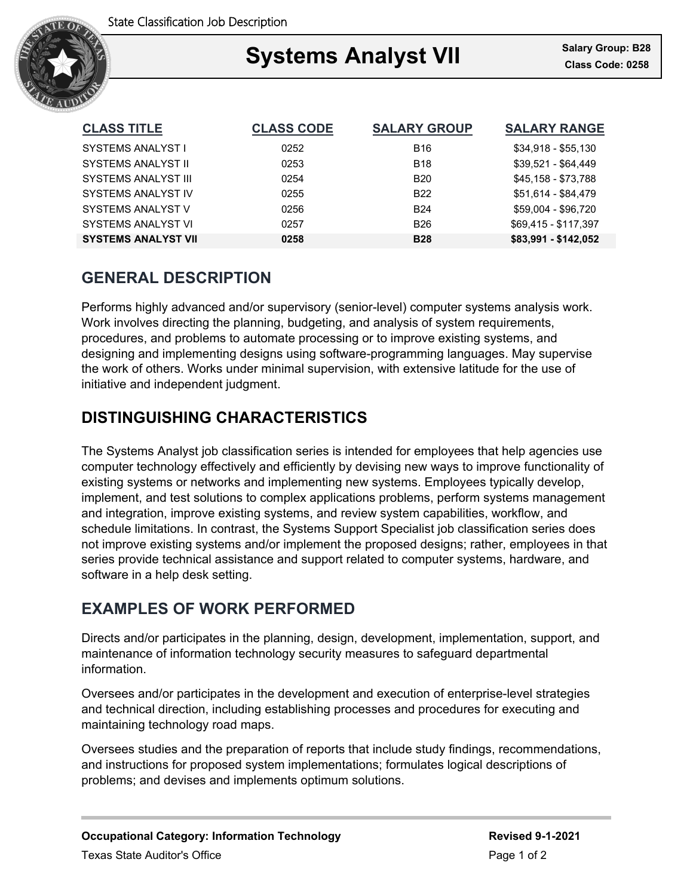

## Ξ Systems Analyst VII **Salary Group: B26**

| <b>CLASS TITLE</b>         | <b>CLASS CODE</b> | <b>SALARY GROUP</b> | <b>SALARY RANGE</b>  |
|----------------------------|-------------------|---------------------|----------------------|
| SYSTEMS ANALYST I          | 0252              | <b>B16</b>          | $$34,918 - $55,130$  |
| SYSTEMS ANALYST II         | 0253              | <b>B18</b>          | \$39,521 - \$64,449  |
| <b>SYSTEMS ANALYST III</b> | 0254              | <b>B20</b>          | \$45,158 - \$73,788  |
| SYSTEMS ANALYST IV         | 0255              | <b>B22</b>          | \$51,614 - \$84,479  |
| SYSTEMS ANALYST V          | 0256              | <b>B24</b>          | \$59,004 - \$96,720  |
| SYSTEMS ANALYST VI         | 0257              | <b>B26</b>          | \$69,415 - \$117,397 |
| <b>SYSTEMS ANALYST VII</b> | 0258              | <b>B28</b>          | \$83,991 - \$142,052 |

# **GENERAL DESCRIPTION**

Performs highly advanced and/or supervisory (senior-level) computer systems analysis work. Work involves directing the planning, budgeting, and analysis of system requirements, procedures, and problems to automate processing or to improve existing systems, and designing and implementing designs using software-programming languages. May supervise the work of others. Works under minimal supervision, with extensive latitude for the use of initiative and independent judgment.

# **DISTINGUISHING CHARACTERISTICS**

The Systems Analyst job classification series is intended for employees that help agencies use computer technology effectively and efficiently by devising new ways to improve functionality of existing systems or networks and implementing new systems. Employees typically develop, implement, and test solutions to complex applications problems, perform systems management and integration, improve existing systems, and review system capabilities, workflow, and schedule limitations. In contrast, the Systems Support Specialist job classification series does not improve existing systems and/or implement the proposed designs; rather, employees in that series provide technical assistance and support related to computer systems, hardware, and software in a help desk setting.

## **EXAMPLES OF WORK PERFORMED**

Directs and/or participates in the planning, design, development, implementation, support, and maintenance of information technology security measures to safeguard departmental information.

Oversees and/or participates in the development and execution of enterprise-level strategies and technical direction, including establishing processes and procedures for executing and maintaining technology road maps.

Oversees studies and the preparation of reports that include study findings, recommendations, and instructions for proposed system implementations; formulates logical descriptions of problems; and devises and implements optimum solutions.